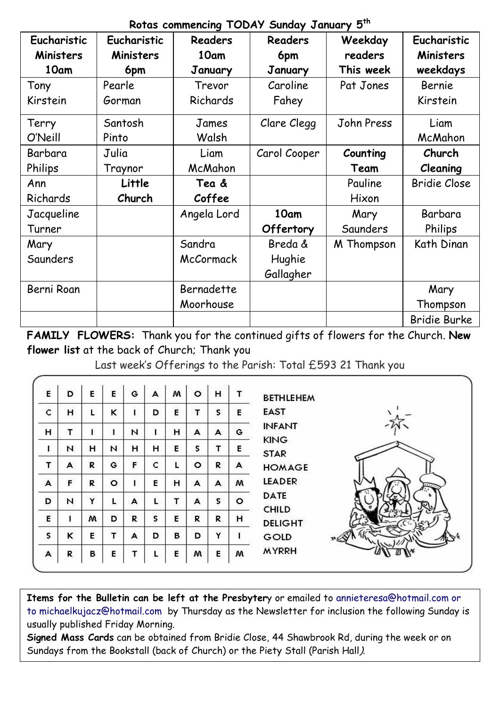## **Rotas commencing TODAY Sunday January 5th**

| Eucharistic | Eucharistic | <b>Readers</b> | <b>Readers</b> | Weekday    | Eucharistic         |
|-------------|-------------|----------------|----------------|------------|---------------------|
| Ministers   | Ministers   | 10am           | 6pm            | readers    | Ministers           |
| 10am        | 6pm         | January        | January        | This week  | weekdays            |
| Tony        | Pearle      | Trevor         | Caroline       | Pat Jones  | Bernie              |
| Kirstein    | Gorman      | Richards       | Fahey          |            | Kirstein            |
| Terry       | Santosh     | James          | Clare Clegg    | John Press | Liam                |
| O'Neill     | Pinto       | Walsh          |                |            | McMahon             |
| Barbara     | Julia       | Liam           | Carol Cooper   | Counting   | Church              |
| Philips     | Traynor     | McMahon        |                | Team       | Cleaning            |
| Ann         | Little      | Tea &          |                | Pauline    | <b>Bridie Close</b> |
| Richards    | Church      | Coffee         |                | Hixon      |                     |
| Jacqueline  |             | Angela Lord    | 10am           | Mary       | Barbara             |
| Turner      |             |                | Offertory      | Saunders   | Philips             |
| Mary        |             | Sandra         | Breda &        | M Thompson | Kath Dinan          |
| Saunders    |             | McCormack      | Hughie         |            |                     |
|             |             |                | Gallagher      |            |                     |
| Berni Roan  |             | Bernadette     |                |            | Mary                |
|             |             | Moorhouse      |                |            | Thompson            |
|             |             |                |                |            | <b>Bridie Burke</b> |

**FAMILY FLOWERS:** Thank you for the continued gifts of flowers for the Church. **New flower list** at the back of Church; Thank you

Last week's Offerings to the Parish: Total £593 21 Thank you

| E            | D | Е | Е       | G  | А | w | $\circ$ | н | т | <b>BETHLEHEM</b>             |
|--------------|---|---|---------|----|---|---|---------|---|---|------------------------------|
| c            | н | Ľ | ĸ       |    | D | E | т       | s | E | <b>EAST</b>                  |
| н            | т |   |         | N  |   | н | A       | A | G | <b>INFANT</b><br><b>KING</b> |
| Т            | N | н | N       | н  | н | E | s       | т | Е | <b>STAR</b>                  |
| т            | A | R | G       | F. | c | Г | o       | R | А | <b>HOMAGE</b>                |
| A            | F | R | $\circ$ |    | Е | н | A       | A | w | <b>LEADER</b><br>1.7.7.7     |
| D            | N | Y |         | А  |   | т | А       | s | ۰ | <b>DATE</b><br><b>CHILD</b>  |
| E            | ı | w | D       | R  | s | E | R       | R | н | <b>DELIGHT</b>               |
| $\mathsf{s}$ | ĸ | E | т       | А  | D | B | D       | Y |   | GOLD                         |
| А            | R | в | E       | т  |   | Е | w       | E | w | <b>MYRRH</b>                 |

**Items for the Bulletin can be left at the Presbyter**y or emailed to [annieteresa@hotmail.com or](mailto:annieteresa@hotmail.com%20or%20to%20michaelkujacz@hotmail.com%20%20b)  [to michaelkujacz@hotmail.com by](mailto:annieteresa@hotmail.com%20or%20to%20michaelkujacz@hotmail.com%20%20b) Thursday as the Newsletter for inclusion the following Sunday is usually published Friday Morning.

**Signed Mass Cards** can be obtained from Bridie Close, 44 Shawbrook Rd, during the week or on Sundays from the Bookstall (back of Church) or the Piety Stall (Parish Hall).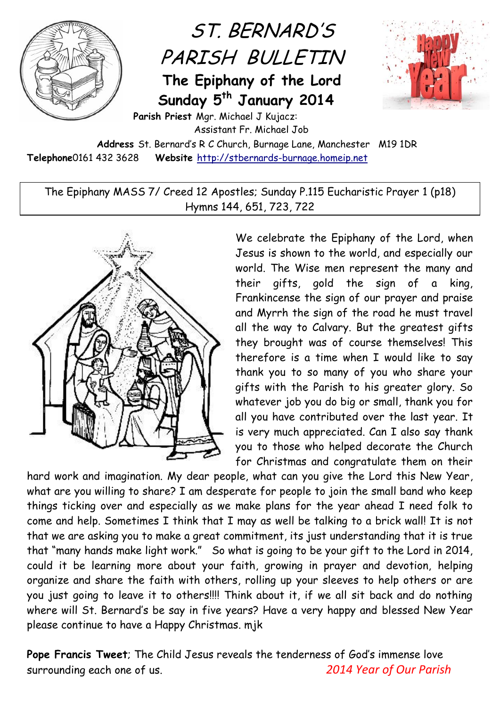

## ST. BERNARD'S PARISH BULLETIN

**The Epiphany of the Lord Sunday 5 th January 2014**



**Parish Priest** Mgr. Michael J Kujacz: Assistant Fr. Michael Job

**Address** St. Bernard's R C Church, Burnage Lane, Manchester M19 1DR **Telephone**0161 432 3628 **Website** [http://stbernards-burnage.homeip.net](http://stbernards-burnage.homeip.net/)

The Epiphany MASS 7/ Creed 12 Apostles; Sunday P.115 Eucharistic Prayer 1 (p18) Hymns 144, 651, 723, 722



We celebrate the Epiphany of the Lord, when Jesus is shown to the world, and especially our world. The Wise men represent the many and their gifts, gold the sign of a king, Frankincense the sign of our prayer and praise and Myrrh the sign of the road he must travel all the way to Calvary. But the greatest gifts they brought was of course themselves! This therefore is a time when I would like to say thank you to so many of you who share your gifts with the Parish to his greater glory. So whatever job you do big or small, thank you for all you have contributed over the last year. It is very much appreciated. Can I also say thank you to those who helped decorate the Church for Christmas and congratulate them on their

hard work and imagination. My dear people, what can you give the Lord this New Year, what are you willing to share? I am desperate for people to join the small band who keep things ticking over and especially as we make plans for the year ahead I need folk to come and help. Sometimes I think that I may as well be talking to a brick wall! It is not that we are asking you to make a great commitment, its just understanding that it is true that "many hands make light work." So what is going to be your gift to the Lord in 2014, could it be learning more about your faith, growing in prayer and devotion, helping organize and share the faith with others, rolling up your sleeves to help others or are you just going to leave it to others!!!! Think about it, if we all sit back and do nothing where will St. Bernard's be say in five years? Have a very happy and blessed New Year please continue to have a Happy Christmas. mjk

**Pope Francis Tweet**; The Child Jesus reveals the tenderness of God's immense love surrounding each one of us. *2014 Year of Our Parish*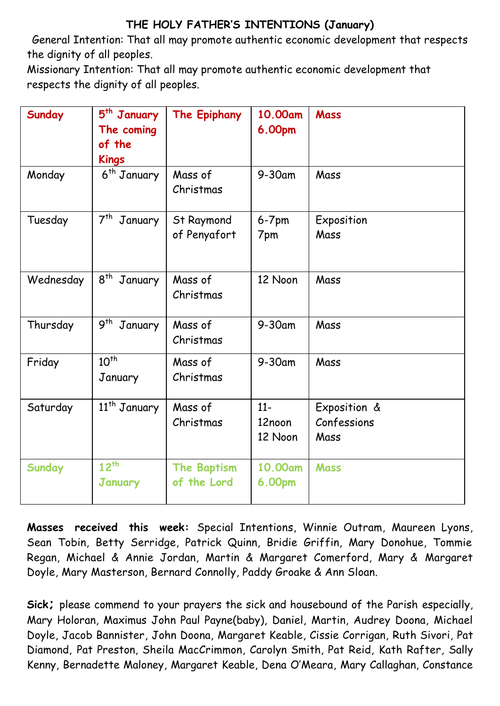## **THE HOLY FATHER'S INTENTIONS (January)**

General Intention: That all may promote authentic economic development that respects the dignity of all peoples.

Missionary Intention: That all may promote authentic economic development that respects the dignity of all peoples.

| <b>Sunday</b> | 5 <sup>th</sup> January<br>The coming<br>of the<br><b>Kings</b> | The Epiphany                      | 10.00am<br>6.00pm          | <b>Mass</b>                         |
|---------------|-----------------------------------------------------------------|-----------------------------------|----------------------------|-------------------------------------|
| Monday        | 6 <sup>th</sup> January                                         | Mass of<br>Christmas              | $9-30$ am                  | Mass                                |
| Tuesday       | 7 <sup>th</sup> January                                         | St Raymond<br>of Penyafort        | $6-7$ pm<br>7pm            | Exposition<br>Mass                  |
| Wednesday     | 8 <sup>th</sup><br>January                                      | Mass of<br>Christmas              | 12 Noon                    | Mass                                |
| Thursday      | $9^{th}$<br>January                                             | Mass of<br>Christmas              | $9-30$ am                  | Mass                                |
| Friday        | $10^{th}$<br>January                                            | Mass of<br>Christmas              | 9-30am                     | Mass                                |
| Saturday      | 11 <sup>th</sup> January                                        | Mass of<br>Christmas              | $11-$<br>12noon<br>12 Noon | Exposition &<br>Confessions<br>Mass |
| Sunday        | $12^{th}$<br><b>January</b>                                     | <b>The Baptism</b><br>of the Lord | 10.00am<br>6.00pm          | <b>Mass</b>                         |

**Masses received this week:** Special Intentions, Winnie Outram, Maureen Lyons, Sean Tobin, Betty Serridge, Patrick Quinn, Bridie Griffin, Mary Donohue, Tommie Regan, Michael & Annie Jordan, Martin & Margaret Comerford, Mary & Margaret Doyle, Mary Masterson, Bernard Connolly, Paddy Groake & Ann Sloan.

**Sick;** please commend to your prayers the sick and housebound of the Parish especially, Mary Holoran, Maximus John Paul Payne(baby), Daniel, Martin, Audrey Doona, Michael Doyle, Jacob Bannister, John Doona, Margaret Keable, Cissie Corrigan, Ruth Sivori, Pat Diamond, Pat Preston, Sheila MacCrimmon, Carolyn Smith, Pat Reid, Kath Rafter, Sally Kenny, Bernadette Maloney, Margaret Keable, Dena O'Meara, Mary Callaghan, Constance